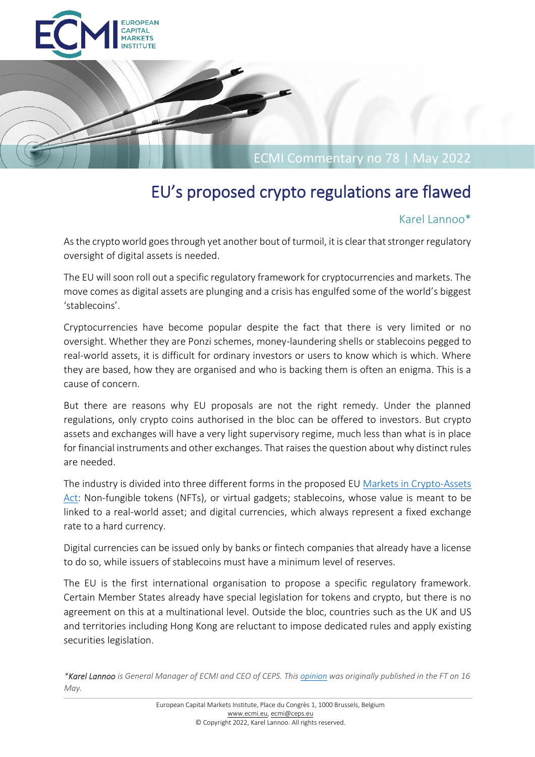

# EU's proposed crypto regulations are flawed

# Karel Lannoo\*

As the crypto world goes through yet another bout of turmoil, it is clear that stronger regulatory oversight of digital assets is needed.

The EU will soon roll out a specific regulatory framework for cryptocurrencies and markets. The move comes as digital assets are plunging and a crisis has engulfed some of the world's biggest 'stablecoins'.

Cryptocurrencies have become popular despite the fact that there is very limited or no oversight. Whether they are Ponzi schemes, money-laundering shells or stablecoins pegged to real-world assets, it is difficult for ordinary investors or users to know which is which. Where they are based, how they are organised and who is backing them is often an enigma. This is a cause of concern.

But there are reasons why EU proposals are not the right remedy. Under the planned regulations, only crypto coins authorised in the bloc can be offered to investors. But crypto assets and exchanges will have a very light supervisory regime, much less than what is in place for financial instruments and other exchanges. That raises the question about why distinct rules are needed.

The industry is divided into three different forms in the proposed EU [Markets in Crypto-Assets](https://eur-lex.europa.eu/legal-content/EN/TXT/?uri=CELEX%3A52020PC0593)  [Act:](https://eur-lex.europa.eu/legal-content/EN/TXT/?uri=CELEX%3A52020PC0593) Non-fungible tokens (NFTs), or virtual gadgets; stablecoins, whose value is meant to be linked to a real-world asset; and digital currencies, which always represent a fixed exchange rate to a hard currency.

Digital currencies can be issued only by banks or fintech companies that already have a license to do so, while issuers of stablecoins must have a minimum level of reserves.

The EU is the first international organisation to propose a specific regulatory framework. Certain Member States already have special legislation for tokens and crypto, but there is no agreement on this at a multinational level. Outside the bloc, countries such as the UK and US and territories including Hong Kong are reluctant to impose dedicated rules and apply existing securities legislation.

*\*Karel Lannoo is General Manager of ECMI and CEO of CEPS. Thi[s opinion](https://www.ft.com/content/83ddff31-fb9a-4765-becf-82a52cc7291d) was originally published in the FT on 16 May.*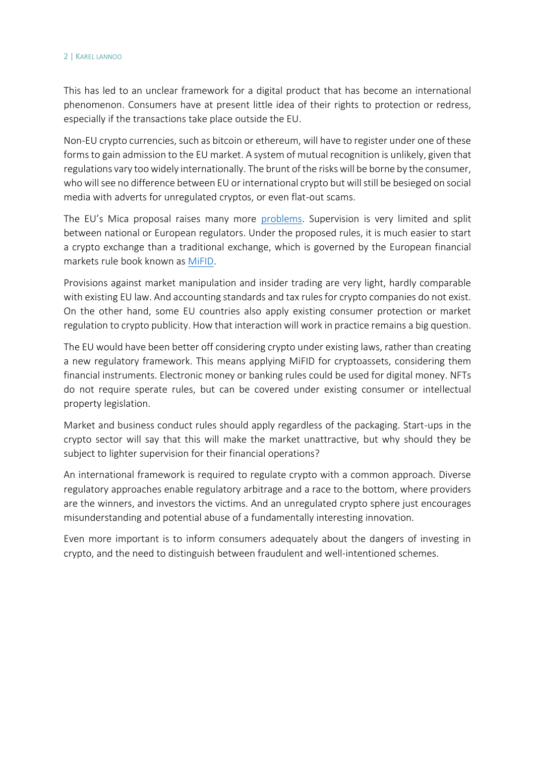#### 2 | KAREL LANNOO

This has led to an unclear framework for a digital product that has become an international phenomenon. Consumers have at present little idea of their rights to protection or redress, especially if the transactions take place outside the EU.

Non-EU crypto currencies, such as bitcoin or ethereum, will have to register under one of these forms to gain admission to the EU market. A system of mutual recognition is unlikely, given that regulations vary too widely internationally. The brunt of the risks will be borne by the consumer, who will see no difference between EU or international crypto but will still be besieged on social media with adverts for unregulated cryptos, or even flat-out scams.

The EU's Mica proposal raises many more [problems.](https://www.ceps.eu/ceps-publications/regulating-crypto-and-cyberware-in-the-eu/) Supervision is very limited and split between national or European regulators. Under the proposed rules, it is much easier to start a crypto exchange than a traditional exchange, which is governed by the European financial markets rule book known as [MiFID.](https://ec.europa.eu/info/business-economy-euro/banking-and-finance/financial-markets/securities-markets/investment-services-and-regulated-markets-markets-financial-instruments-directive-mifid_en)

Provisions against market manipulation and insider trading are very light, hardly comparable with existing EU law. And accounting standards and tax rules for crypto companies do not exist. On the other hand, some EU countries also apply existing consumer protection or market regulation to crypto publicity. How that interaction will work in practice remains a big question.

The EU would have been better off considering crypto under existing laws, rather than creating a new regulatory framework. This means applying MiFID for cryptoassets, considering them financial instruments. Electronic money or banking rules could be used for digital money. NFTs do not require sperate rules, but can be covered under existing consumer or intellectual property legislation.

Market and business conduct rules should apply regardless of the packaging. Start-ups in the crypto sector will say that this will make the market unattractive, but why should they be subject to lighter supervision for their financial operations?

An international framework is required to regulate crypto with a common approach. Diverse regulatory approaches enable regulatory arbitrage and a race to the bottom, where providers are the winners, and investors the victims. And an unregulated crypto sphere just encourages misunderstanding and potential abuse of a fundamentally interesting innovation.

Even more important is to inform consumers adequately about the dangers of investing in crypto, and the need to distinguish between fraudulent and well-intentioned schemes.